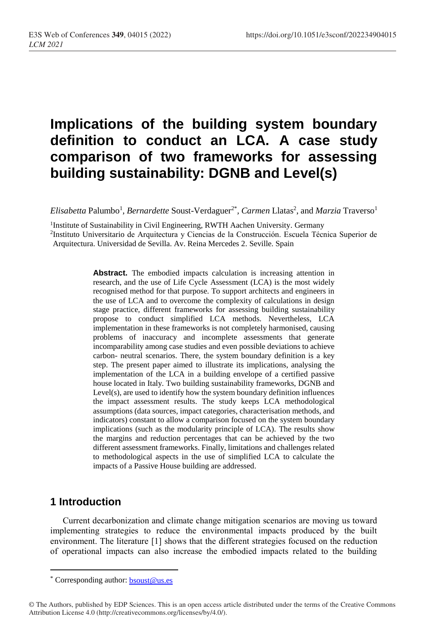# **Implications of the building system boundary definition to conduct an LCA. A case study comparison of two frameworks for assessing building sustainability: DGNB and Level(s)**

 $E$ *lisabetta* Palumbo<sup>1</sup>, *Bernardette* Soust-Verdaguer<sup>2\*</sup>, *Carmen* Llatas<sup>2</sup>, and *Marzia* Traverso<sup>1</sup>

<sup>1</sup>Institute of Sustainability in Civil Engineering, RWTH Aachen University. Germany

2 Instituto Universitario de Arquitectura y Ciencias de la Construcción. Escuela Técnica Superior de Arquitectura. Universidad de Sevilla. Av. Reina Mercedes 2. Seville. Spain

> **Abstract.** The embodied impacts calculation is increasing attention in research, and the use of Life Cycle Assessment (LCA) is the most widely recognised method for that purpose. To support architects and engineers in the use of LCA and to overcome the complexity of calculations in design stage practice, different frameworks for assessing building sustainability propose to conduct simplified LCA methods. Nevertheless, LCA implementation in these frameworks is not completely harmonised, causing problems of inaccuracy and incomplete assessments that generate incomparability among case studies and even possible deviations to achieve carbon- neutral scenarios. There, the system boundary definition is a key step. The present paper aimed to illustrate its implications, analysing the implementation of the LCA in a building envelope of a certified passive house located in Italy. Two building sustainability frameworks, DGNB and Level(s), are used to identify how the system boundary definition influences the impact assessment results. The study keeps LCA methodological assumptions (data sources, impact categories, characterisation methods, and indicators) constant to allow a comparison focused on the system boundary implications (such as the modularity principle of LCA). The results show the margins and reduction percentages that can be achieved by the two different assessment frameworks. Finally, limitations and challenges related to methodological aspects in the use of simplified LCA to calculate the impacts of a Passive House building are addressed.

## **1 Introduction**

 $\overline{a}$ 

Current decarbonization and climate change mitigation scenarios are moving us toward implementing strategies to reduce the environmental impacts produced by the built environment. The literature [1] shows that the different strategies focused on the reduction of operational impacts can also increase the embodied impacts related to the building

<sup>\*</sup> Corresponding author: [bsoust@us.es](mailto:bsoust@us.es)

<sup>©</sup> The Authors, published by EDP Sciences. This is an open access article distributed under the terms of the Creative Commons Attribution License 4.0 (http://creativecommons.org/licenses/by/4.0/).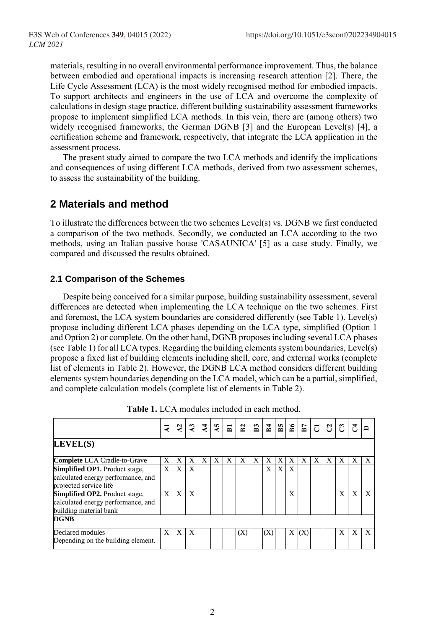materials, resulting in no overall environmental performance improvement. Thus, the balance between embodied and operational impacts is increasing research attention [2]. There, the Life Cycle Assessment (LCA) is the most widely recognised method for embodied impacts. To support architects and engineers in the use of LCA and overcome the complexity of calculations in design stage practice, different building sustainability assessment frameworks propose to implement simplified LCA methods. In this vein, there are (among others) two widely recognised frameworks, the German DGNB [3] and the European Level(s) [4], a certification scheme and framework, respectively, that integrate the LCA application in the assessment process.

The present study aimed to compare the two LCA methods and identify the implications and consequences of using different LCA methods, derived from two assessment schemes, to assess the sustainability of the building.

## **2 Materials and method**

To illustrate the differences between the two schemes Level(s) vs. DGNB we first conducted a comparison of the two methods. Secondly, we conducted an LCA according to the two methods, using an Italian passive house 'CASAUNICA' [5] as a case study. Finally, we compared and discussed the results obtained.

#### **2.1 Comparison of the Schemes**

Despite being conceived for a similar purpose, building sustainability assessment, several differences are detected when implementing the LCA technique on the two schemes. First and foremost, the LCA system boundaries are considered differently (see Table 1). Level(s) propose including different LCA phases depending on the LCA type, simplified (Option 1 and Option 2) or complete. On the other hand, DGNB proposesincluding several LCA phases (see Table 1) for all LCA types. Regarding the building elements system boundaries, Level(s) propose a fixed list of building elements including shell, core, and external works (complete list of elements in Table 2). However, the DGNB LCA method considers different building elements system boundaries depending on the LCA model, which can be a partial, simplified, and complete calculation models (complete list of elements in Table 2).

|                                                                                                       | 41 | 5 | J, | 4 | $\mathbf{S}$ | $\overline{B}$ | $\mathbf{E}$ | $\mathbf{E}$ | B <sub>4</sub> | B <sub>5</sub> | 98 | B7  | $\overline{\text{C}}$ | $ 3 $ ឌ |   | $\vec{r}$ |              |
|-------------------------------------------------------------------------------------------------------|----|---|----|---|--------------|----------------|--------------|--------------|----------------|----------------|----|-----|-----------------------|---------|---|-----------|--------------|
| LEVEL(S)                                                                                              |    |   |    |   |              |                |              |              |                |                |    |     |                       |         |   |           |              |
| <b>Complete</b> LCA Cradle-to-Grave                                                                   | X  | Х | Х  | Х | Х            | Х              | X            | Х            | X              | Х              |    | Х   | Х                     | X       | X | X         | X            |
| <b>Simplified OP1.</b> Product stage,<br>calculated energy performance, and<br>projected service life | X  | X | X  |   |              |                |              |              | X              | X              | X  |     |                       |         |   |           |              |
| Simplified OP2. Product stage,<br>calculated energy performance, and<br>building material bank        | X  | X | X  |   |              |                |              |              |                |                | X  |     |                       |         | X | X         | $\mathbf{x}$ |
| <b>DGNB</b>                                                                                           |    |   |    |   |              |                |              |              |                |                |    |     |                       |         |   |           |              |
| Declared modules<br>Depending on the building element.                                                | X  | X | X  |   |              |                | (X)          |              | (X)            |                | X  | (X) |                       |         | X | Х         | X            |

**Table 1.** LCA modules included in each method.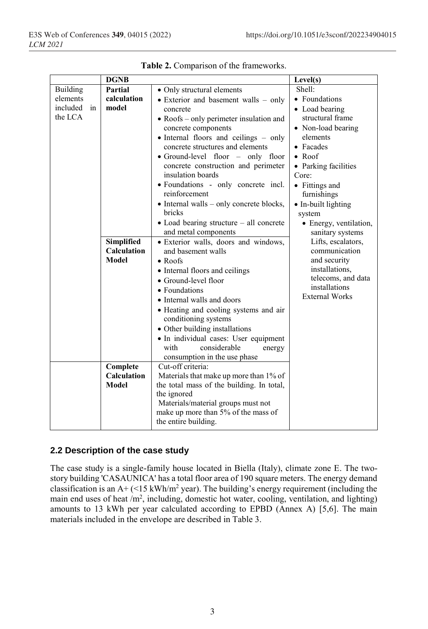|                | <b>DGNB</b>        |                                                            | Level(s)                               |  |  |  |  |
|----------------|--------------------|------------------------------------------------------------|----------------------------------------|--|--|--|--|
| Building       | Partial            | • Only structural elements                                 | Shell:                                 |  |  |  |  |
| elements       | calculation        | • Exterior and basement walls – only                       | • Foundations                          |  |  |  |  |
| included<br>in | model              | concrete                                                   | • Load bearing                         |  |  |  |  |
| the LCA        |                    | $\bullet$ Roofs – only perimeter insulation and            | structural frame                       |  |  |  |  |
|                |                    | concrete components                                        | • Non-load bearing                     |  |  |  |  |
|                |                    | • Internal floors and ceilings – only                      | elements                               |  |  |  |  |
|                |                    | concrete structures and elements                           | • Facades                              |  |  |  |  |
|                |                    | • Ground-level floor $-$ only floor                        | $\bullet$ Roof                         |  |  |  |  |
|                |                    | concrete construction and perimeter                        | • Parking facilities                   |  |  |  |  |
|                |                    | insulation boards                                          | Core:                                  |  |  |  |  |
|                |                    | • Foundations - only concrete incl.                        | • Fittings and                         |  |  |  |  |
|                |                    | reinforcement                                              | furnishings                            |  |  |  |  |
|                |                    | • Internal walls – only concrete blocks,                   | • In-built lighting                    |  |  |  |  |
|                |                    | bricks                                                     | system                                 |  |  |  |  |
|                |                    | • Load bearing structure - all concrete                    | • Energy, ventilation,                 |  |  |  |  |
|                | Simplified         | and metal components                                       | sanitary systems<br>Lifts, escalators, |  |  |  |  |
|                | <b>Calculation</b> | • Exterior walls, doors and windows,<br>and basement walls | communication                          |  |  |  |  |
|                | Model              | $\bullet$ Roofs                                            | and security                           |  |  |  |  |
|                |                    | • Internal floors and ceilings                             | installations,                         |  |  |  |  |
|                |                    | • Ground-level floor                                       | telecoms, and data                     |  |  |  |  |
|                |                    | • Foundations                                              | installations                          |  |  |  |  |
|                |                    | • Internal walls and doors                                 | <b>External Works</b>                  |  |  |  |  |
|                |                    | • Heating and cooling systems and air                      |                                        |  |  |  |  |
|                |                    | conditioning systems                                       |                                        |  |  |  |  |
|                |                    | • Other building installations                             |                                        |  |  |  |  |
|                |                    | • In individual cases: User equipment                      |                                        |  |  |  |  |
|                |                    | with<br>considerable<br>energy                             |                                        |  |  |  |  |
|                |                    | consumption in the use phase                               |                                        |  |  |  |  |
|                | Complete           | Cut-off criteria:                                          |                                        |  |  |  |  |
|                | <b>Calculation</b> | Materials that make up more than 1% of                     |                                        |  |  |  |  |
|                | Model              | the total mass of the building. In total,                  |                                        |  |  |  |  |
|                |                    | the ignored                                                |                                        |  |  |  |  |
|                |                    | Materials/material groups must not                         |                                        |  |  |  |  |
|                |                    | make up more than 5% of the mass of                        |                                        |  |  |  |  |
|                |                    | the entire building.                                       |                                        |  |  |  |  |

**Table 2.** Comparison of the frameworks.

#### **2.2 Description of the case study**

The case study is a single-family house located in Biella (Italy), climate zone E. The twostory building 'CASAUNICA' has a total floor area of 190 square meters. The energy demand classification is an A+ (<15 kWh/m<sup>2</sup> year). The building's energy requirement (including the main end uses of heat  $/m^2$ , including, domestic hot water, cooling, ventilation, and lighting) amounts to 13 kWh per year calculated according to EPBD (Annex A) [5,6]. The main materials included in the envelope are described in Table 3.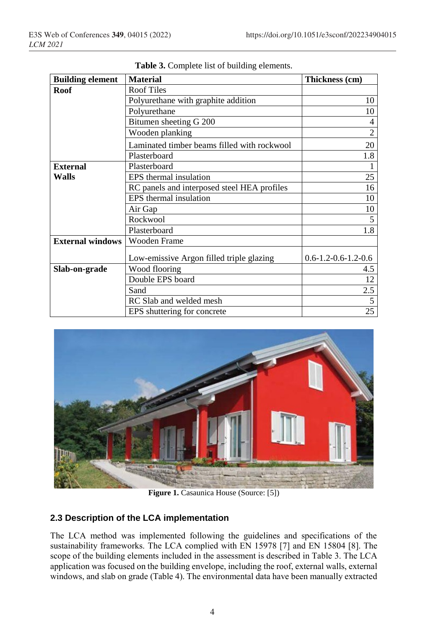| <b>Building element</b> | <b>Material</b>                             | Thickness (cm)                |
|-------------------------|---------------------------------------------|-------------------------------|
| Roof                    | <b>Roof Tiles</b>                           |                               |
|                         | Polyurethane with graphite addition         | 10                            |
|                         | Polyurethane                                | 10                            |
|                         | Bitumen sheeting G 200                      | 4                             |
|                         | Wooden planking                             | $\mathfrak{D}$                |
|                         | Laminated timber beams filled with rockwool | 20                            |
|                         | Plasterboard                                | 1.8                           |
| <b>External</b>         | Plasterboard                                |                               |
| Walls                   | EPS thermal insulation                      | 25                            |
|                         | RC panels and interposed steel HEA profiles | 16                            |
|                         | EPS thermal insulation                      | 10                            |
|                         | Air Gap                                     | 10                            |
|                         | Rockwool                                    |                               |
|                         | Plasterboard                                | 1.8                           |
| <b>External windows</b> | Wooden Frame                                |                               |
|                         | Low-emissive Argon filled triple glazing    | $0.6 - 1.2 - 0.6 - 1.2 - 0.6$ |
| Slab-on-grade           | Wood flooring                               | 4.5                           |
|                         | Double EPS board                            | 12                            |
|                         | Sand                                        | 2.5                           |
|                         | RC Slab and welded mesh                     | 5                             |
|                         | EPS shuttering for concrete                 | 25                            |

**Table 3.** Complete list of building elements.



Figure 1. Casaunica House (Source: [5])

#### **2.3 Description of the LCA implementation**

The LCA method was implemented following the guidelines and specifications of the sustainability frameworks. The LCA complied with EN 15978 [7] and EN 15804 [8]. The scope of the building elements included in the assessment is described in Table 3. The LCA application was focused on the building envelope, including the roof, external walls, external windows, and slab on grade (Table 4). The environmental data have been manually extracted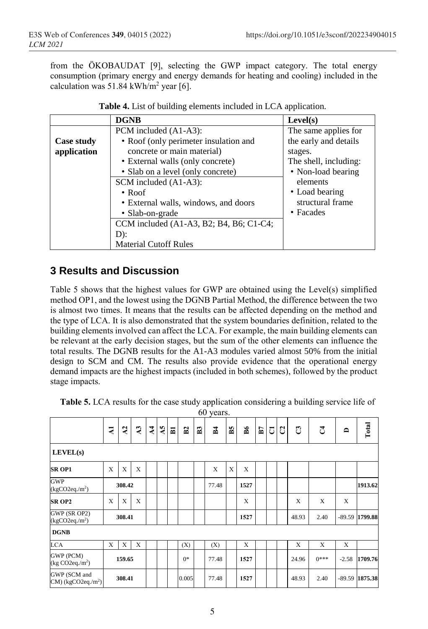from the ÖKOBAUDAT [9], selecting the GWP impact category. The total energy consumption (primary energy and energy demands for heating and cooling) included in the calculation was 51.84 kWh/m<sup>2</sup> year [6].

|             | <b>DGNB</b>                               | Level(s)              |
|-------------|-------------------------------------------|-----------------------|
|             | PCM included (A1-A3):                     | The same applies for  |
| Case study  | • Roof (only perimeter insulation and     | the early and details |
| application | concrete or main material)                | stages.               |
|             | • External walls (only concrete)          | The shell, including: |
|             | • Slab on a level (only concrete)         | • Non-load bearing    |
|             | SCM included (A1-A3):                     | elements              |
|             | $\cdot$ Roof                              | • Load bearing        |
|             | • External walls, windows, and doors      | structural frame      |
|             | • Slab-on-grade                           | • Facades             |
|             | CCM included $(A1-A3, B2; B4, B6; C1-C4;$ |                       |
|             | $D)$ :                                    |                       |
|             | <b>Material Cutoff Rules</b>              |                       |

| <b>Table 4.</b> List of building elements included in LCA application. |  |
|------------------------------------------------------------------------|--|
|------------------------------------------------------------------------|--|

## **3 Results and Discussion**

Table 5 shows that the highest values for GWP are obtained using the Level(s) simplified method OP1, and the lowest using the DGNB Partial Method, the difference between the two is almost two times. It means that the results can be affected depending on the method and the type of LCA. It is also demonstrated that the system boundaries definition, related to the building elements involved can affect the LCA. For example, the main building elements can be relevant at the early decision stages, but the sum of the other elements can influence the total results. The DGNB results for the A1-A3 modules varied almost 50% from the initial design to SCM and CM. The results also provide evidence that the operational energy demand impacts are the highest impacts (included in both schemes), followed by the product stage impacts.

|                                                   |              |             |              |                |                         |                         |             |                | 60 years.    |    |      |    |   |   |       |        |          |         |
|---------------------------------------------------|--------------|-------------|--------------|----------------|-------------------------|-------------------------|-------------|----------------|--------------|----|------|----|---|---|-------|--------|----------|---------|
|                                                   | $\mathbf{z}$ | $\lambda$ 2 | $\mathbf{A}$ | $\overline{A}$ | $\overline{\mathsf{A}}$ | $\overline{\mathbf{B}}$ | $_{\rm B2}$ | B <sub>3</sub> | $\mathbb{Z}$ | B5 | B6   | B7 | J | S | ප     | J      | ≏        | Total   |
| LEVEL(s)                                          |              |             |              |                |                         |                         |             |                |              |    |      |    |   |   |       |        |          |         |
| <b>SR OP1</b>                                     | X            | X           | X            |                |                         |                         |             |                | $\mathbf x$  | X  | X    |    |   |   |       |        |          |         |
| <b>GWP</b><br>$(kgCO2eq./m^2)$                    |              | 308.42      |              |                |                         |                         |             |                | 77.48        |    | 1527 |    |   |   |       |        |          | 1913.62 |
| <b>SR OP2</b>                                     | X            | X           | X            |                |                         |                         |             |                |              |    | X    |    |   |   | X     | X      | X        |         |
| GWP (SR OP2)<br>$(kgCO2eq./m^2)$                  |              | 308.41      |              |                |                         |                         |             |                |              |    | 1527 |    |   |   | 48.93 | 2.40   | $-89.59$ | 1799.88 |
| <b>DGNB</b>                                       |              |             |              |                |                         |                         |             |                |              |    |      |    |   |   |       |        |          |         |
| <b>LCA</b>                                        | X            | X           | X            |                |                         |                         | (X)         |                | (X)          |    | X    |    |   |   | X     | X      | X        |         |
| GWP (PCM)<br>$(kg CO2eq./m^2)$                    |              | 159.65      |              |                |                         |                         | $0*$        |                | 77.48        |    | 1527 |    |   |   | 24.96 | $0***$ | $-2.58$  | 1709.76 |
| GWP (SCM and<br>$CM$ ) (kgCO2eq./m <sup>2</sup> ) |              | 308.41      |              |                |                         |                         | 0.005       |                | 77.48        |    | 1527 |    |   |   | 48.93 | 2.40   | $-89.59$ | 1875.38 |

**Table 5.** LCA results for the case study application considering a building service life of